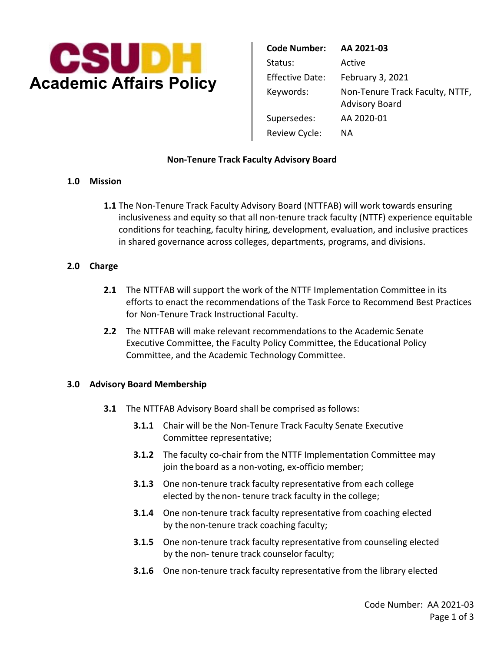

| <b>Code Number:</b>    | AA 2021-03                                               |
|------------------------|----------------------------------------------------------|
| Status:                | Active                                                   |
| <b>Effective Date:</b> | February 3, 2021                                         |
| Keywords:              | Non-Tenure Track Faculty, NTTF,<br><b>Advisory Board</b> |
| Supersedes:            | AA 2020-01                                               |
| Review Cycle:          | ΝA                                                       |

## **Non-Tenure Track Faculty Advisory Board**

## **1.0 Mission**

**1.1** The Non-Tenure Track Faculty Advisory Board (NTTFAB) will work towards ensuring inclusiveness and equity so that all non-tenure track faculty (NTTF) experience equitable conditions for teaching, faculty hiring, development, evaluation, and inclusive practices in shared governance across colleges, departments, programs, and divisions.

# **2.0 Charge**

- **2.1** The NTTFAB will support the work of the NTTF Implementation Committee in its efforts to enact the recommendations of the Task Force to Recommend Best Practices for Non-Tenure Track Instructional Faculty.
- Committee, and the Academic Technology Committee. **2.2** The NTTFAB will make relevant recommendations to the Academic Senate Executive Committee, the Faculty Policy Committee, the Educational Policy

## **3.0 Advisory Board Membership**

- **3.1** The NTTFAB Advisory Board shall be comprised as follows:
	- **3.1.1** Chair will be the Non-Tenure Track Faculty Senate Executive Committee representative;
	- join the board as a non-voting, ex-officio member; **3.1.2** The faculty co-chair from the NTTF Implementation Committee may
	- elected by the non- tenure track faculty in the college; **3.1.3** One non-tenure track faculty representative from each college
	- by the non-tenure track coaching faculty; **3.1.4** One non-tenure track faculty representative from coaching elected
	- by the non- tenure track counselor faculty; **3.1.5** One non-tenure track faculty representative from counseling elected
	- **3.1.6** One non-tenure track faculty representative from the library elected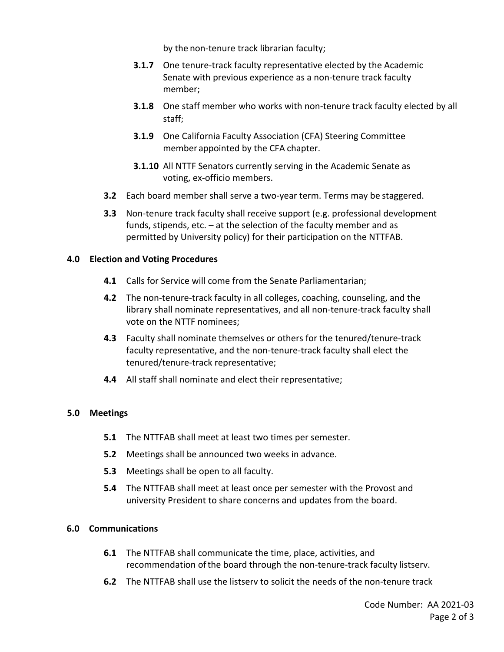by the non-tenure track librarian faculty;

- **3.1.7** One tenure-track faculty representative elected by the Academic Senate with previous experience as a non-tenure track faculty member;
- **3.1.8** One staff member who works with non-tenure track faculty elected by all staff;
- **3.1.9** One California Faculty Association (CFA) Steering Committee member appointed by the CFA chapter.
- **3.1.10** All NTTF Senators currently serving in the Academic Senate as voting, ex-officio members.
- **3.2** Each board member shall serve a two-year term. Terms may be staggered.
- **3.3** Non-tenure track faculty shall receive support (e.g. professional development funds, stipends, etc. – at the selection of the faculty member and as permitted by University policy) for their participation on the NTTFAB.

#### **4.0 Election and Voting Procedures**

- **4.1** Calls for Service will come from the Senate Parliamentarian;
- **4.2** The non-tenure-track faculty in all colleges, coaching, counseling, and the library shall nominate representatives, and all non-tenure-track faculty shall vote on the NTTF nominees;
- **4.3** Faculty shall nominate themselves or others for the tenured/tenure-track faculty representative, and the non-tenure-track faculty shall elect the tenured/tenure-track representative;
- **4.4** All staff shall nominate and elect their representative;

## **5.0 Meetings**

- **5.1** The NTTFAB shall meet at least two times per semester.
- **5.2** Meetings shall be announced two weeks in advance.
- **5.3** Meetings shall be open to all faculty.
- **5.4** The NTTFAB shall meet at least once per semester with the Provost and university President to share concerns and updates from the board.

#### **6.0 Communications**

- **6.1** The NTTFAB shall communicate the time, place, activities, and recommendation of the board through the non-tenure-track faculty listserv.
- **6.2** The NTTFAB shall use the listserv to solicit the needs of the non-tenure track